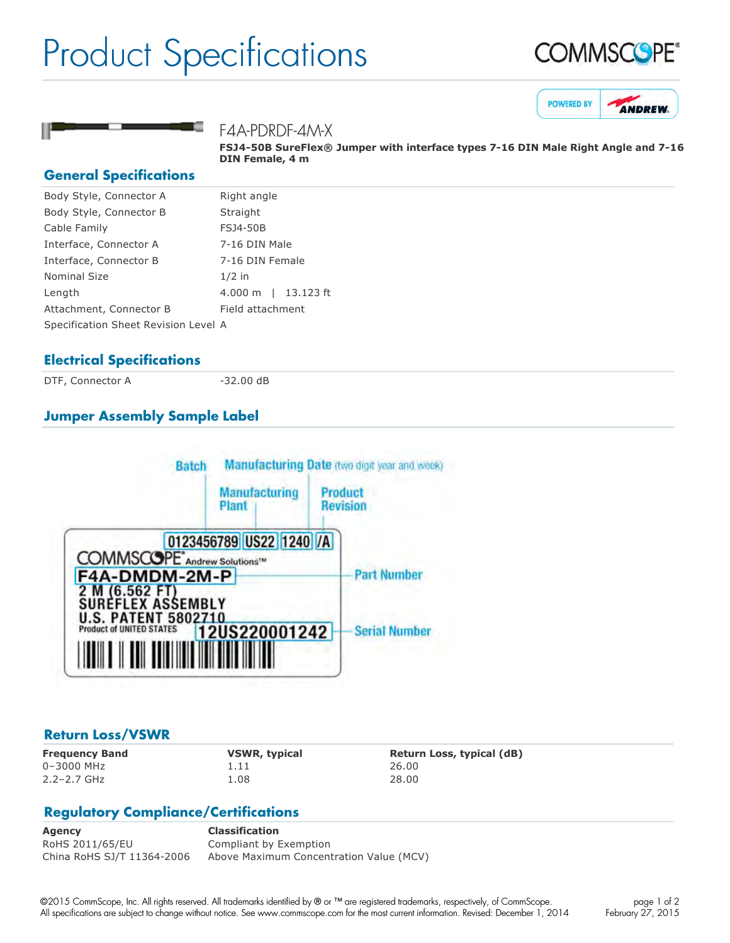## Product Specifications







F4A-PDRDF-4M-X

**FSJ450B SureFlex® Jumper with interface types 716 DIN Male Right Angle and 716 DIN Female, 4 m**

#### **General Specifications**

| Body Style, Connector A              | Right angle                        |
|--------------------------------------|------------------------------------|
| Body Style, Connector B              | Straight                           |
| Cable Family                         | <b>FSJ4-50B</b>                    |
| Interface, Connector A               | 7-16 DIN Male                      |
| Interface, Connector B               | 7-16 DIN Female                    |
| <b>Nominal Size</b>                  | $1/2$ in                           |
| Length                               | $4.000 \; \mathrm{m}$<br>13.123 ft |
| Attachment, Connector B              | Field attachment                   |
| Specification Sheet Revision Level A |                                    |
|                                      |                                    |

#### **Electrical Specifications**

DTF, Connector A 32.00 dB

### **Jumper Assembly Sample Label**



#### **Return Loss/VSWR**

0–3000 MHz 1.11 26.00 2.2–2.7 GHz 1.08 28.00

**Frequency Band VSWR, typical Return Loss, typical (dB)**

#### **Regulatory Compliance/Certifications**

**Agency Classification** RoHS 2011/65/EU Compliant by Exemption China RoHS SJ/T 11364-2006 Above Maximum Concentration Value (MCV)

©2015 CommScope, Inc. All rights reserved. All trademarks identified by ® or ™ are registered trademarks, respectively, of CommScope. All specifications are subject to change without notice. See www.commscope.com for the most current information. Revised: December 1, 2014